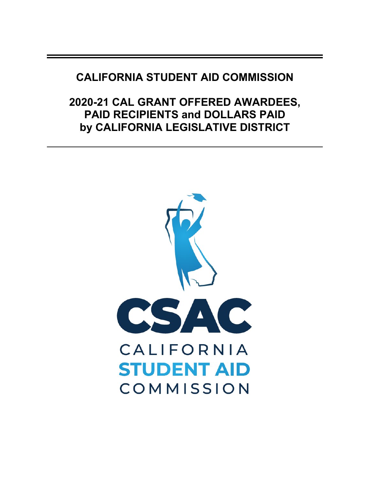## **CALIFORNIA STUDENT AID COMMISSION**

# **2020-21 CAL GRANT OFFERED AWARDEES, PAID RECIPIENTS and DOLLARS PAID by CALIFORNIA LEGISLATIVE DISTRICT**

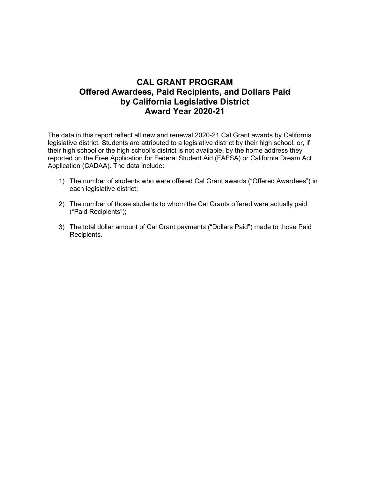### **CAL GRANT PROGRAM Offered Awardees, Paid Recipients, and Dollars Paid by California Legislative District Award Year 2020-21**

The data in this report reflect all new and renewal 2020-21 Cal Grant awards by California legislative district. Students are attributed to a legislative district by their high school, or, if their high school or the high school's district is not available, by the home address they reported on the Free Application for Federal Student Aid (FAFSA) or California Dream Act Application (CADAA). The data include:

- 1) The number of students who were offered Cal Grant awards ("Offered Awardees") in each legislative district;
- 2) The number of those students to whom the Cal Grants offered were actually paid ("Paid Recipients");
- 3) The total dollar amount of Cal Grant payments ("Dollars Paid") made to those Paid Recipients.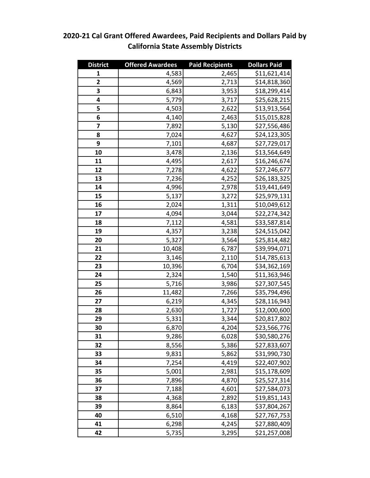#### **District Offered Awardees Paid Recipients Dollars Paid** 4,583 **2,465** \$11,621,414 **4,569 2,713** \$14,818,360 **6,843 5,953** \$18,299,414 **5,779 5,779 3,717** \$25,628,215 4,503 2,622 \$13,913,564 **4,140 2,463 \$15,015,828 1** 7,892 5,130 \$27,556,486 **1** 7,024 **1** 7,024 **1** 7,024 **1 1 1 7,101 4,687** \$27,729,017 3,478 **2,136** \$13,564,649  $\begin{array}{|c|c|c|c|c|} \hline 4,495 & 2,617 & 516,246,674 \hline \end{array}$  7,278 4,622 \$27,246,677 7,236 4,252 \$26,183,325 **14 4,996 2,978 \$19,441,649**  5,137 3,272 \$25,979,131  $\begin{bmatrix} 2,024 \\ 2,024 \end{bmatrix}$  1,311 \$10,049,612  $\begin{vmatrix} 4,094 \\ 3,044 \end{vmatrix}$  \$22,274,342 7,112 4,581 \$33,587,814  $\begin{array}{|c|c|c|c|c|} \hline \text{4,357} & \text{3,238} & \text{524,515,042} \hline \end{array}$  **5,327** 3,564 \$25,814,482 10,408 6,787 \$39,994,071 **3,146 2,110** \$14,785,613 10,396 6,704 \$34,362,169 **1,540** \$11,363,946 **5,716 3,986 \$27,307,545**  11,482 7,266 \$35,794,496 **6,219 4,345 \$28,116,943**  1,727 \$12,000,600 **29**  $\begin{array}{|c|c|c|c|c|} \hline \text{3,344} & \text{520,817,802} \hline \end{array}$  **6,870 4,204** \$23,566,776 **b** 9,286 **6,028 \$30,580,276**  8,556 5,386 \$27,833,607 **1** 9,831 5,862 \$31,990,730 **1** 7,254 **4,419** \$22,407,902  $\vert$  5,001  $\vert$  2,981 \$15,178,609 **1** 7,896 **4,870 \$25,527,314**  7,188 4,601 \$27,584,073 **4,368 2,892** \$19,851,143 | 8,864 6,183 \$37,804,267 **6,510 4,168 \$27,767,753**  6,298 **4,245 \$27,880,409**  $\begin{bmatrix} 5,735 \end{bmatrix}$  3,295 \$21,257,008

#### **2020-21 Cal Grant Offered Awardees, Paid Recipients and Dollars Paid by California State Assembly Districts**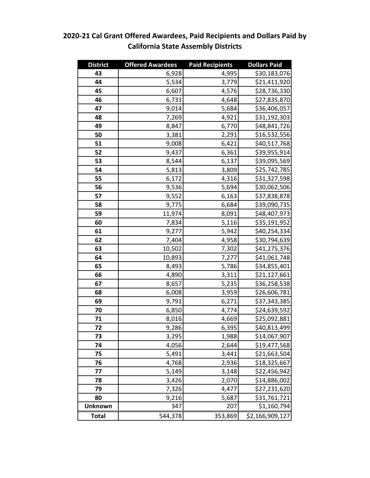#### **District Offered Awardees Paid Recipients Dollars Paid**  $\begin{array}{|c|c|c|c|c|} \hline 6,928 & & 4,995 & & 530,183,076 \hline \end{array}$   $\begin{vmatrix} 5,534 & 3,779 & 21,411,920 \end{vmatrix}$  **6,607 4,576 \$28,736,330 6,731 4,648 \$27,835,870 9,014** 5,684 \$36,406,057 **1 1**,269 **1 1**,921 **531,192,303**  8,847 6,770 \$48,841,726 3,381 **2,291 \$16,532,556**  9,008 6,421 \$40,517,768 **9,437 6,361** \$39,955,914  $\vert$  8,544 6,137 \$39,095,569  $\begin{array}{|c|c|c|c|c|} \hline \textbf{5,813} & \textbf{3,809} & \textbf{525,742,785} \hline \end{array}$  6,172 4,316 \$31,327,598 **5,694 \$30,062,506**  9,552 6,163 \$37,838,878  $\vert$  9,775 6,684 \$39,090,735 11,974 8,091 \$48,407,973 7,834 5,116 \$35,191,952 **1** 9,277 **5,942** \$40,254,334 | 7,404  $\vert$  4,958 \$30,794,639 10,502 7,302 \$41,275,376 10,893 7,277 \$41,061,748  $\begin{bmatrix} 8,493 \\ 5,786 \end{bmatrix}$  \$34,855,401  $\vert$  4,890 3,311 \$21,127,661 8,657 **5,235 \$36,258,538**   $\begin{bmatrix} 6,008 \\ 6,008 \end{bmatrix}$  3,959 \$26,606,781  $\vert$  9,791 6,271 \$37,343,385 **6,850 4,774** \$24,639,592 8,016 4,669 \$25,092,881 | 9,286 6,395 \$40,813,499  $\vert$  3,295  $\vert$  1,988 \$14,067,907 4,056 2,644 \$19,477,568 **5,491 5,491 5,491 5,491 5,491 5,491 5,491 5,491 5,491 5,491 5,491 5,491 5,491 5,491 5,491 5,491 5,491 5,491 5,491 5,491 5,491 5,491 5,491 5,491 5,491 5,491 5,491**  $\begin{array}{|c|c|c|c|c|} \hline \text{18,325,667} & & \text{2,936} & \text{5,18,325,667} \hline \end{array}$   $\begin{array}{|c|c|c|c|c|} \hline \text{5,149} & \text{3,148} & \text{522,456,942} \hline \end{array}$ **78**  $\begin{bmatrix} 3,426 \\ 3,426 \end{bmatrix}$  2,070 \$14,886,002 7,326 4,477 \$27,231,620 **9,216 5,687 \$31,761,721 Unknown** | 347 347 207 \$1,160,794 **Total** | 544,378 353,869 \$2,166,909,127

### **2020-21 Cal Grant Offered Awardees, Paid Recipients and Dollars Paid by California State Assembly Districts**